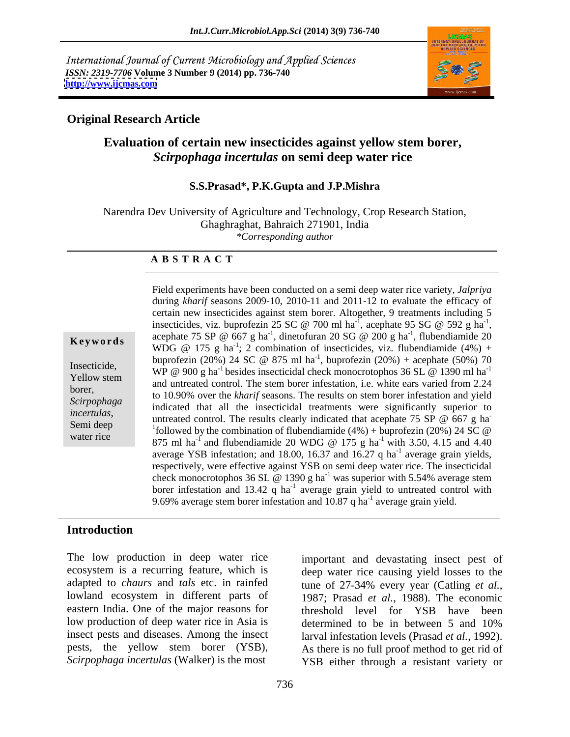International Journal of Current Microbiology and Applied Sciences *ISSN: 2319-7706* **Volume 3 Number 9 (2014) pp. 736-740 <http://www.ijcmas.com>**



## **Original Research Article**

# **Evaluation of certain new insecticides against yellow stem borer,**  *Scirpophaga incertulas* **on semi deep water rice**

### **S.S.Prasad\*, P.K.Gupta and J.P.Mishra**

Narendra Dev University of Agriculture and Technology, Crop Research Station, Ghaghraghat, Bahraich 271901, India *\*Corresponding author* 

#### **A B S T R A C T**

**Keywords** acceptuate  $75.5r \approx 607$  g ha, unterordiant 20.50  $\approx 200$  g ha, indendiamide 20<br>WDG  $\otimes$  175 g ha<sup>-1</sup>; 2 combination of insecticides, viz. flubendiamide (4%) + Insecticide,<br>
WP @ 900 g ha<sup>-1</sup> besides insecticidal check monocrotophos 36 SL @ 1390 ml ha<sup>-1</sup> Yellow stem and untreated control. The stem borer infestation, i.e. white ears varied from 2.24 borer,<br>to 10.90% over the *kharif* seasons. The results on stem borer infestation and yield Scirpophaga indicated that all the insecticidal treatments were significantly superior to *incertulas*, Semi deep untreated control. The results clearly indicated that acephate 75 SP @ 667 g ha water rice<br>
875 ml ha<sup>-1</sup> and flubendiamide 20 WDG @ 175 g ha<sup>-1</sup> with 3.50, 4.15 and 4.40 Field experiments have been conducted on a semi deep water rice variety, *Jalpriya* during *kharif* seasons 2009-10, 2010-11 and 2011-12 to evaluate the efficacy of certain new insecticides against stem borer. Altogether, 9 treatments including 5 insecticides, viz. buprofezin 25 SC @ 700 ml ha<sup>-1</sup>, acephate 95 SG @ 592 g ha<sup>-1</sup>, , acephate 95 SG  $\omega$  592 g ha<sup>-1</sup>, -1 insecticides, viz. buprofezin 25 SC @ 700 ml ha<sup>-1</sup>, acephate 95 SG @ 592 g ha<sup>-1</sup>, acephate 75 SP @ 667 g ha<sup>-1</sup>, dinetofuran 20 SG @ 200 g ha<sup>-1</sup>, flubendiamide 20  $-1$  flubondiamide  $20$ , flubendiamide 20 buprofezin (20%) 24 SC @ 875 ml ha<sup>-1</sup>, buprofezin (20%) + acephate (50%) 70 **-** Andrea Maria Maria Maria Maria <sup>1</sup>followed by the combination of flubendiamide  $(4%) +$  buprofezin  $(20%)$  24 SC @ with 3.50, 4.15 and 4.40 average YSB infestation; and 18.00, 16.37 and 16.27 q ha<sup>-1</sup> average grain yields,  $^{-1}$  everges are violde average grain yields, respectively, were effective against YSB on semi deep water rice. The insecticidal check monocrotophos 36 SL  $\omega$  1390 g ha<sup>-1</sup> was superior with 5.54% average stem borer infestation and 13.42 q ha<sup>-1</sup> average grain yield to untreated control with 9.69% average stem borer infestation and  $10.87$  q ha<sup>-1</sup> average grain yield.

### **Introduction**

The low production in deep water rice ecosystem is a recurring feature, which is deep water rice causing yield losses to the adapted to *chaurs* and *tals* etc. in rainfed tune of 27-34% every year (Catling *et al.*, lowland ecosystem in different parts of 1987; Prasad et al., 1988). The economic eastern India. One of the major reasons for low production of deep water rice in Asia is determined to be in between 5 and 10% insect pests and diseases. Among the insect pests, the yellow stem borer (YSB), *Scirpophaga incertulas* (Walker) is the most

important and devastating insect pest of tune of 27-34% every year (Catling *et al.*, 1987; Prasad *et al.*, 1988). The economic threshold level for YSB have been determined to be in between 5 and 10% larval infestation levels (Prasad *et al.*, 1992). As there is no full proof method to get rid of YSB either through a resistant variety or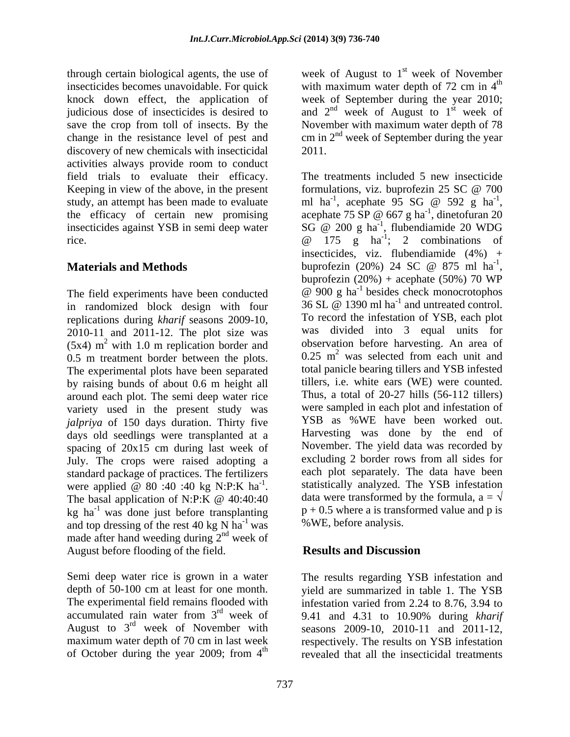insecticides becomes unavoidable. For quick with maximum water depth of 72 cm in  $4^{\text{th}}$ knock down effect, the application of week of September during the year 2010; judicious dose of insecticides is desired to and  $2<sup>nd</sup>$  week of August to  $1<sup>st</sup>$  week of save the crop from toll of insects. By the November with maximum water depth of 78 change in the resistance level of pest and cm in  $2<sup>nd</sup>$  week of September during the year discovery of new chemicals with insecticidal 2011. activities always provide room to conduct field trials to evaluate their efficacy. Keeping in view of the above, in the present formulations, viz. buprofezin 25 SC @ 700 study, an attempt has been made to evaluate insecticides against YSB in semi deep water SG  $\omega$  200 g ha<sup>-1</sup>, flubendiamide 20 WDG

The field experiments have been conducted in randomized block design with four replications during *kharif* seasons 2009-10, 2010-11 and 2011-12. The plot size was  $(5x4)$  m<sup>2</sup> with 1.0 m replication border and 0.5 m treatment border between the plots. The experimental plots have been separated by raising bunds of about 0.6 m height all around each plot. The semi deep water rice variety used in the present study was *jalpriya* of 150 days duration. Thirty five days old seedlings were transplanted at a spacing of 20x15 cm during last week of July. The crops were raised adopting a standard package of practices. The fertilizers  $kg$  ha<sup>-1</sup> was done just before transplanting and top dressing of the rest 40 kg N  $\text{ha}^{-1}$  was made after hand weeding during  $2<sup>nd</sup>$  week of  $\frac{nd}{d}$  work of week of August before flooding of the field. **Results and Discussion** 

maximum water depth of 70 cm in last week respectively. The results on YSB infestation of October during the year 2009; from  $4<sup>th</sup>$ 

through certain biological agents, the use of week of August to  $1<sup>st</sup>$  week of November week of November the contract of the contract of the contract of the contract of the contract of the contract of the contract of the contract of the contract of the contract of the contract of the contract of the contract of the contract o week of 2011.

the efficacy of certain new promising acephate 75  $\text{SP} \text{ } @$  667 g ha<sup>-1</sup>, dinetofuran 20 rice.  $\omega$  175 g ha<sup>-1</sup>; 2 combinations of **Materials and Methods** buprofezin (20%) 24 SC @ 875 ml ha<sup>-1</sup>,<br>buprofezin (20%) + acephate (50%) 70 WP  $2$  with 1.0 m replication border and observation before harvesting. An area of with 1.0 m replication border and observation before harvesting. An area of were applied @ 80 :40 :40 kg N:P:K ha<sup>-1</sup>. Statistically analyzed. The YSB infestation -1 . statistically analyzed. The YSB infestation The basal application of N:P:K  $\omega$  40:40:40 data were transformed by the formula,  $a = \nu$ <sup>-1</sup> was done just before transplanting  $p + 0.5$  where a is transformed value and p is <sup>-1</sup> was % WE, before analysis. The treatments included 5 new insecticide formulations, viz. buprofezin 25 SC @ 700 ml ha<sup>-1</sup>, acephate 95 SG @ 592 g ha<sup>-1</sup>, , acephate  $95 \text{ SG} \text{ @ } 592 \text{ g ha}^{-1}$ , ,  $SG \ @ \ 200 \ g \ ha^{-1}$ , flubendiamide 20 WDG , flubendiamide 20 WDG insecticides, viz. flubendiamide  $(4\%) +$ buprofezin (20%) 24 SC  $\omega$  875 ml ha<sup>-1</sup>, -1 buprofezin (20%) 24 SC @ 875 ml ha<sup>-1</sup>,<br>buprofezin (20%) + acephate (50%) 70 WP  $\omega$  900 g ha<sup>-1</sup> besides check monocrotophos  $\omega$  900 g ha<sup>-1</sup> besides check monocrotophos 36 SL  $\omega$  1390 ml ha<sup>-1</sup> and untreated control. To record the infestation of YSB, each plot was divided into 3 equal units for  $0.25$  m<sup>2</sup> was selected from each unit and was selected from each unit and total panicle bearing tillers and YSB infested tillers, i.e. white ears (WE) were counted. Thus, a total of 20-27 hills (56-112 tillers) were sampled in each plot and infestation of YSB as %WE have been worked out. Harvesting was done by the end of November. The yield data was recorded by excluding 2 border rows from all sides for each plot separately. The data have been data were transformed by the formula,  $a = \sqrt{ }$ 

# **Results and Discussion**

Semi deep water rice is grown in a water The results regarding YSB infestation and depth of 50-100 cm at least for one month. yield are summarized in table 1. The YSB<br>The experimental field remains flooded with infestation varied from 2.24 to 8.76, 3.94 to accumulated rain water from 3<sup>rd</sup> week of 9.41 and 4.31 to 10.90% during *kharif* August to  $3^{rd}$  week of November with seasons 2009-10, 2010-11 and 2011-12, th revealed that all the insecticidal treatments yield are summarized in table 1. The YSB infestation varied from 2.24 to 8.76, 3.94 to seasons 2009-10, 2010-11 and 2011-12, respectively. The results on YSB infestation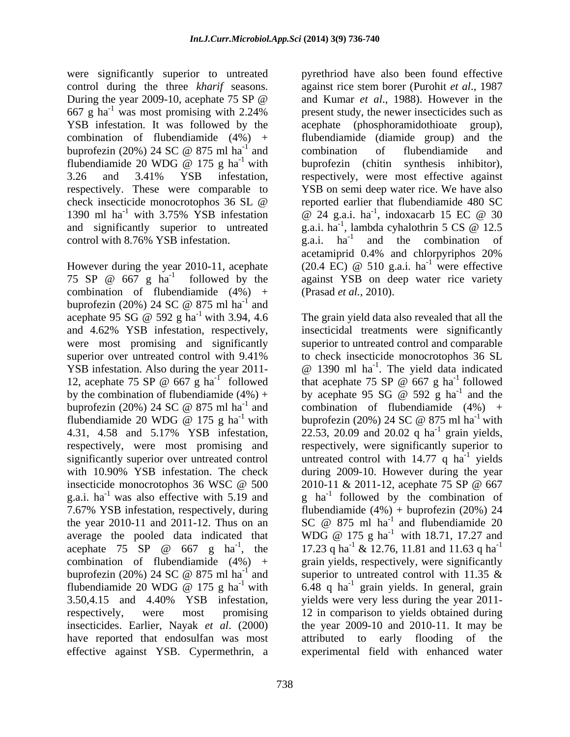were significantly superior to untreated respectively. These were comparable to control with  $8.76\%$  YSB infestation. g.a.i. ha<sup>-1</sup>

combination of flubendiamide  $(4\%)$  +<br>buprofezin (20%) 24 SC @ 875 ml ha<sup>-1</sup> and buprofezin (20%) 24 SC  $\omega$  875 ml ha<sup>-1</sup> and  $-1$  and and were most promising and significantly YSB infestation. Also during the year 2011-<br>12, acephate 75 SP  $\omega$  667 g ha<sup>-1</sup> followed by the combination of flubendiamide  $(4\%)$  + by acephate 95 SG @ 592 g ha<sup>-1</sup> and the buprofezin (20%) 24 SC @ 875 ml ha<sup>-1</sup> and combination of flubendiamide (4%) + g.a.i. ha<sup>-1</sup> was also effective with 5.19 and effective against YSB. Cypermethrin, a experimental field with enhanced water

control during the three *kharif* seasons. against rice stem borer (Purohit *et al*., 1987 During the year 2009-10, acephate 75 SP @ and Kumar et al., 1988). However in the  $667 \text{ g ha}^{-1}$  was most promising with 2.24% present study, the newer insecticides such as YSB infestation. It was followed by the acephate (phosphoramidothioate group), combination of flubendiamide (4%) + flubendiamide (diamide group) and the buprofezin (20%) 24 SC  $\omega$  875 ml ha<sup>-1</sup> and combination of flubendiamide and  $\frac{1}{2}$  and combination of flubordianide and and combination of flubendiamide and flubendiamide 20 WDG  $\omega$  175 g ha<sup>-1</sup> with buprofezin (chitin synthesis inhibitor), 3.26 and 3.41% YSB infestation, respectively, were most effective against check insecticide monocrotophos 36 SL @ 1390 ml ha<sup>-1</sup> with 3.75% YSB infestation  $\omega$  24 g.a.i. ha<sup>-1</sup>, indoxacarb 15 EC  $\omega$  30 and significantly superior to untreated g.a.i.  $ha^{-1}$ , lambda cyhalothrin 5 CS @ 12.5 However during the year 2010-11, acephate (20.4 EC)  $\omega$  510 g.a.i. ha<sup>-1</sup> were effective 75 SP  $\omega$  667 g ha<sup>-1</sup> followed by the against YSB on deep water rice variety <sup>-1</sup> followed by the against YSB on deep water rice variety pyrethriod have also been found effective and Kumar *et al*., 1988). However in the combination of flubendiamide and buprofezin (chitin synthesis inhibitor), YSB on semi deep water rice. We have also reported earlier that flubendiamide 480 SC , indoxacarb 15 EC @ 30 , lambda cyhalothrin 5 CS @ 12.5 g.a.i.  $ha^{-1}$  and the combination of acetamiprid 0.4% and chlorpyriphos 20%  $(20.4 \text{ EC})$  @ 510 g.a.i. ha<sup>-1</sup> were effective  $\frac{1}{1}$  wore offective were effective (Prasad *et al.*, 2010).

acephate 95 SG  $\textcircled{a}$  592 g ha<sup>-1</sup> with 3.94, 4.6 The grain yield data also revealed that all the <sup>-1</sup> with 3.94, 4.6 The grain yield data also revealed that all the and 4.62% YSB infestation, respectively, insecticidal treatments were significantly superior over untreated control with 9.41% to check insecticide monocrotophos 36 SL 12, acephate 75 SP  $\omega$  667 g ha<sup>-1</sup> followed that acephate 75 SP  $\omega$  667 g ha<sup>-1</sup> followed <sup>-1</sup> followed that acephate 75 SP  $\omega$  667 g ha<sup>-1</sup> followed buprofezin (20%) 24 SC  $\textcircled{e}$  875 ml ha<sup>-1</sup> and combination of flubendiamide (4%) +  $^{-1}$  and combination of flubendiamide (4%) + flubendiamide 20 WDG @ 175 g ha<sup>-1</sup> with buprofezin (20%) 24 SC @ 875 ml ha<sup>-1</sup> with 4.31, 4.58 and 5.17% YSB infestation, 22.53, 20.09 and 20.02 q ha<sup>-1</sup> grain yields, respectively, were most promising and respectively, were significantly superior to significantly superior over untreated control untreated control with 14.77 q ha<sup>-1</sup> yields with 10.90% YSB infestation. The check during 2009-10. However during the year insecticide monocrotophos 36 WSC  $\omega$  500 2010-11 & 2011-12, acephate 75 SP  $\omega$  667 <sup>-1</sup> was also effective with 5.19 and g ha<sup>-1</sup> followed by the combination of 7.67% YSB infestation, respectively, during flubendiamide (4%) + buprofezin (20%) 24 the year 2010-11 and 2011-12. Thus on an  $SC \text{ } @$  875 ml ha<sup>-1</sup> and flubendiamide 20 average the pooled data indicated that WDG  $\omega$  175 g ha<sup>-1</sup> with 18.71, 17.27 and acephate 75 SP @ 667 g ha<sup>-1</sup>, the 17.23 q ha<sup>-1</sup> & 12.76, 11.81 and 11.63 q ha<sup>-1</sup> <sup>-1</sup>, the 17.23 q ha<sup>-1</sup> & 12.76, 11.81 and 11.63 q ha<sup>-1</sup> combination of flubendiamide (4%) + grain yields, respectively, were significantly buprofezin (20%) 24 SC  $\omega$  875 ml ha<sup>-1</sup> and superior to untreated control with 11.35  $\&$ <sup>-1</sup> and superior to untreated control with 11.35  $\&$ flubendiamide 20 WDG @ 175 g ha<sup>-1</sup> with 6.48 q ha<sup>-1</sup> grain yields. In general, grain 3.50,4.15 and 4.40% YSB infestation, yields were very less during the year 2011 respectively, were most promising 12 in comparison to yields obtained during insecticides. Earlier, Nayak *et al*. (2000) the year 2009-10 and 2010-11. It may be have reported that endosulfan was most attributed to early flooding of the superior to untreated control and comparable @ 1390 ml ha-1 . The yield data indicated that acephate 75 SP  $\omega$  667 g ha<sup>-1</sup> followed  $^{-1}$  followed followed by acephate 95 SG  $\omega$  592 g ha<sup>-1</sup> and the and the buprofezin (20%) 24 SC  $\omega$  875 ml ha<sup>-1</sup> with  $^{-1}$  with  $^{-1}$  groin violds grain yields,  $^{-1}$  violds yields 2010-11 & 2011-12, acephate 75 SP @ 667 SC  $\omega$  875 ml ha<sup>-1</sup> and flubendiamide 20 and flubendiamide 20  $^{-1}$  & 12.76, 11.81 and 11.63 q ha<sup>-1</sup> -1 superior to untreated control with 11.35  $\&$ 6.48 q ha -1 grain yields. In general, grain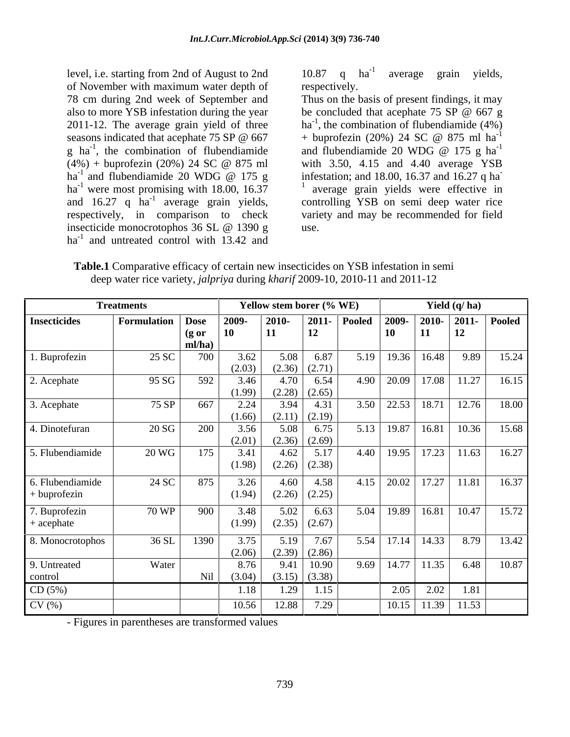level, i.e. starting from 2nd of August to 2nd of November with maximum water depth of seasons indicated that acephate 75 SP @ 667 + buprofezin (20%) 24 SC @ 875 ml ha<sup>-1</sup> ha<sup>-1</sup> and flubendiamide 20 WDG @ 175 g  $ha^{-1}$  were most promising with 18.00, 16.37 and  $16.27$  q  $ha^{-1}$  average grain yields, ha<sup>-1</sup> and untreated control with 13.42 and

10.87 q ha<sup>-1</sup> average grain yields, average grain yields, respectively.

78 cm during 2nd week of September and Thus on the basis of present findings, it may also to more YSB infestation during the year be concluded that acephate 75 SP @ 667 g 2011-12. The average grain yield of three  $ha^{-1}$ , the combination of flubendiamide  $(4\%)$ g ha<sup>-1</sup>, the combination of flubendiamide and flubendiamide 20 WDG @ 175 g ha<sup>-1</sup>  $(4\%)$  + buprofezin (20%) 24 SC @ 875 ml with 3.50, 4.15 and 4.40 average YSB and flubendiamide 20 WDG @ 175 g infestation; and 18.00, 16.37 and 16.27 q ha were most promising with 18.00, 16.37  $\frac{1}{1}$  average grain yields were effective in <sup>-1</sup> average grain yields, controlling YSB on semi deep water rice respectively, in comparison to check variety and may be recommended for field insecticide monocrotophos 36 SL @ 1390 g be concluded that acephate 75 SP @ 667 g  $+$  buprofezin (20%) 24 SC @ 875 ml ha<sup>-1</sup> -1 and flubendiamide 20 WDG  $\omega$  175 g ha<sup>-1</sup> with 3.50, 4.15 and 4.40 average YSB infestation; and 18.00, 16.37 and 16.27 q ha **-** Construction of the construction use.

**Table.1** Comparative efficacy of certain new insecticides on YSB infestation in semi deep water rice variety, *jalpriya* during *kharif* 2009-10, 2010-11 and 2011-12

|                                  | <b>Treatments</b> | Yellow stem borer (% WE)   |                |                |                            | Yield $(q/ha)$  |           |                       |                                |               |
|----------------------------------|-------------------|----------------------------|----------------|----------------|----------------------------|-----------------|-----------|-----------------------|--------------------------------|---------------|
| <b>Insecticides</b>              | Formulation       | Dose                       | 2009-          | 2010-          |                            | $2011 -$ Pooled |           | 2009-   2010-   2011- |                                | <b>Pooled</b> |
|                                  |                   | $(g \text{ or }$<br>ml/ha) |                |                | 12                         |                 | <b>10</b> | <b>11</b>             | 12                             |               |
| . Buprofezin                     | 25 SC             | 700                        | 3.62<br>(2.03) | 5.08           | 6.87<br>$(2.36)$ $(2.71)$  |                 |           | $5.19$ 19.36 16.48    | 9.89                           | 15.24         |
| 2. Acephate                      | 95 SG             | 592                        | 3.46<br>(1.99) | 4.70<br>(2.28) | 6.54<br>(2.65)             |                 |           |                       | $4.90$   20.09   17.08   11.27 | 16.15         |
| 3. Acephate                      | 75 SP             | 667                        | 2.24<br>(1.66) | 3.94           | 4.31<br>$(2.11)$ $(2.19)$  |                 |           |                       | $3.50$   22.53   18.71   12.76 | 18.00         |
| 4. Dinotefuran                   | 20 SG             | 200                        | 3.56<br>(2.01) | 5.08<br>(2.36) | 6.75<br>(2.69)             |                 |           | 5.13 19.87 16.81      | 10.36                          | 15.68         |
| 5. Flubendiamide                 | 20 WG             | 175                        | 3.41<br>(1.98) | 4.62           | 5.17<br>$(2.26)$ $(2.38)$  |                 |           |                       | $4.40$   19.95   17.23   11.63 | 16.27         |
| 6. Flubendiamide<br>+ buprofezin | 24 SC             | 875                        | 3.26<br>(1.94) | 4.60<br>(2.26) | 4.58<br>(2.25)             | 4.15            |           | $20.02$ 17.27 11.81   |                                | 16.37         |
| '. Buprofezin<br>+ acephate      | 70 WP             | 900                        | 3.48<br>(1.99) | 5.02           | 6.63<br>$(2.35)$ $(2.67)$  |                 |           |                       | $5.04$   19.89   16.81   10.47 | 15.72         |
| 8. Monocrotophos                 | 36 SL             | 1390                       | 3.75<br>(2.06) | 5.19           | 7.67<br>$(2.39)$ $(2.86)$  | 5.54            |           | $17.14$ 14.33         | 8.79                           | 13.42         |
| 9. Untreated<br>control          | Water             | Nil                        | 8.76<br>(3.04) | 9.41           | 10.90<br>$(3.15)$ $(3.38)$ |                 |           | $9.69$ 14.77 11.35    | 6.48                           | 10.87         |
| CD(5%)                           |                   |                            | 1.18           | 1.29           | 1.15                       |                 | 2.05      | 2.02                  | 1.81                           |               |
| CV(%)                            |                   |                            | 10.56          | 12.88          | 7.29                       |                 |           |                       | $10.15$   11.39   11.53        |               |

- Figures in parentheses are transformed values